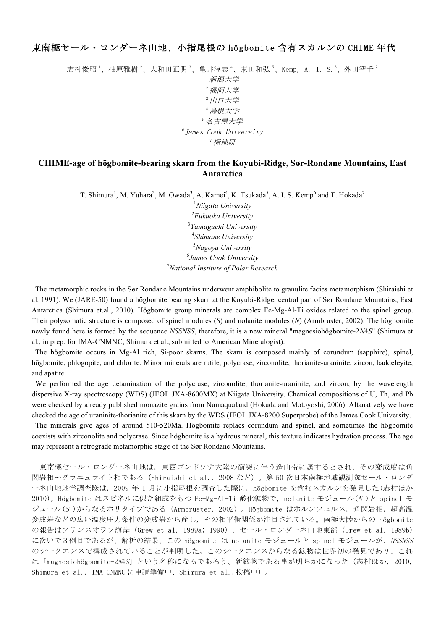## 東南極セール・ロンダーネ山地、小指尾根の högbomite 含有スカルンの CHIME 年代

志村俊昭 '、柚原雅樹 '、大和田正明 '、亀井淳志 '、束田和弘 '、Kemp,A.I.S. '、外田智千 ' <sup>1</sup>新潟大学 <sup>2</sup>福岡大学 3 山口大学 <sup>4</sup>島根大学 <sup>5</sup>名古屋大学 6 James Cook University <sup>7</sup>極地研

## **CHIME-age of högbomite-bearing skarn from the Koyubi-Ridge, Sør-Rondane Mountains, East Antarctica**

T. Shimura<sup>1</sup>, M. Yuhara<sup>2</sup>, M. Owada<sup>3</sup>, A. Kamei<sup>4</sup>, K. Tsukada<sup>5</sup>, A. I. S. Kemp<sup>6</sup> and T. Hokada<sup>7</sup>

 *Niigata University Fukuoka University Yamaguchi University Shimane University Nagoya University James Cook University National Institute of Polar Research*

The metamorphic rocks in the Sør Rondane Mountains underwent amphibolite to granulite facies metamorphism (Shiraishi et al. 1991). We (JARE-50) found a högbomite bearing skarn at the Koyubi-Ridge, central part of Sør Rondane Mountains, East Antarctica (Shimura et.al., 2010). Högbomite group minerals are complex Fe-Mg-Al-Ti oxides related to the spinel group. Their polysomatic structure is composed of spinel modules (*S*) and nolanite modules (*N*) (Armbruster, 2002). The högbomite newly found here is formed by the sequence *NSSNSS*, therefore, it is a new mineral "magnesiohögbomite-2*N*4*S*" (Shimura et al., in prep. for IMA-CNMNC; Shimura et al., submitted to American Mineralogist).

The högbomite occurs in Mg-Al rich, Si-poor skarns. The skarn is composed mainly of corundum (sapphire), spinel, högbomite, phlogopite, and chlorite. Minor minerals are rutile, polycrase, zirconolite, thorianite-uraninite, zircon, baddeleyite, and apatite.

We performed the age detamination of the polycrase, zirconolite, thorianite-uraninite, and zircon, by the wavelength dispersive X-ray spectroscopy (WDS) (JEOL JXA-8600MX) at Niigata University. Chemical compositions of U, Th, and Pb were checked by already published monazite grains from Namaqualand (Hokada and Motoyoshi, 2006). Altanatively we have checked the age of uraninite-thorianite of this skarn by the WDS (JEOL JXA-8200 Superprobe) of the James Cook University.

The minerals give ages of around 510-520Ma. Högbomite replacs corundum and spinel, and sometimes the högbomite coexists with zirconolite and polycrase. Since högbomite is a hydrous mineral, this texture indicates hydration process. The age may represent a retrograde metamorphic stage of the Sør Rondane Mountains.

東南極セール・ロンダーネ山地は,東西ゴンドワナ大陸の衝突に伴う造山帯に属するとされ,その変成度は角 閃岩相~グラニュライト相である(Shiraishi et al., 2008 など)。第 50 次日本南極地域観測隊セール・ロンダ ーネ山地地学調査隊は,2009 年 1 月に小指尾根を調査した際に,högbomite を含むスカルンを発見した(志村ほか, 2010)。Högbomite はスピネルに似た組成をもつ Fe-Mg-Al-Ti 酸化鉱物で, nolanite モジュール(N)と spinel モ ジュール $(S)$ からなるポリタイプである (Armbruster, 2002)。Högbomite はホルンフェルス, 角閃岩相, 超高温 変成岩などの広い温度圧力条件の変成岩から産し,その相平衡関係が注目されている。南極大陸からの högbomite の報告はプリンスオラフ海岸 (Grew et al. 1989a; 1990), セール・ロンダーネ山地東部 (Grew et al. 1989b) に次いで3例目であるが、解析の結果、この högbomite は nolanite モジュールと spinel モジュールが、NSSNSS のシークエンスで構成されていることが判明した。このシークエンスからなる鉱物は世界初の発見であり、これ は「magnesiohögbomite-2N4S」という名称になるであろう、新鉱物である事が明らかになった(志村ほか, 2010, Shimura et al., IMA CNMNC に申請準備中、Shimura et al.,投稿中)。